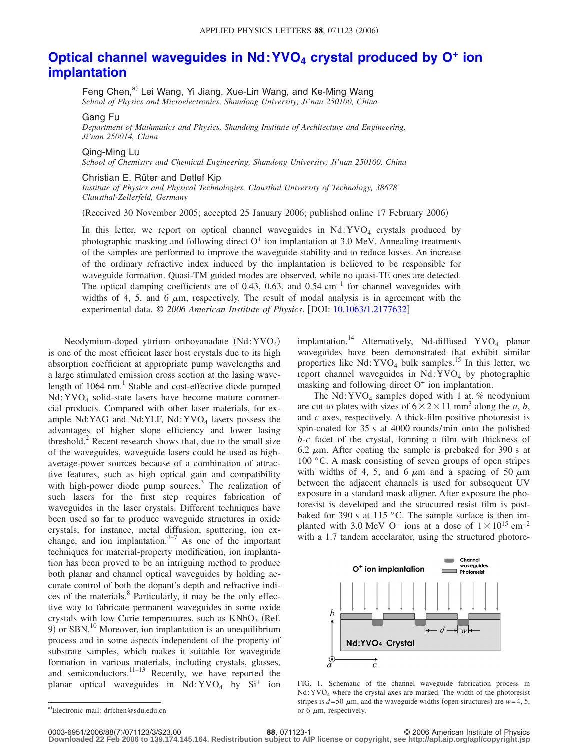## **Optical channel wavequides in Nd: YVO<sub>4</sub> crystal produced by O<sup>+</sup> ion [implantation](http://dx.doi.org/10.1063/1.2177632)**

Feng Chen,<sup>a)</sup> Lei Wang, Yi Jiang, Xue-Lin Wang, and Ke-Ming Wang *School of Physics and Microelectronics, Shandong University, Ji'nan 250100, China*

Gang Fu

*Department of Mathmatics and Physics, Shandong Institute of Architecture and Engineering, Ji'nan 250014, China*

## Qing-Ming Lu

*School of Chemistry and Chemical Engineering, Shandong University, Ji'nan 250100, China*

## Christian E. Rüter and Detlef Kip

*Institute of Physics and Physical Technologies, Clausthal University of Technology, 38678 Clausthal-Zellerfeld, Germany*

Received 30 November 2005; accepted 25 January 2006; published online 17 February 2006-

In this letter, we report on optical channel waveguides in  $Nd:YVO<sub>4</sub>$  crystals produced by photographic masking and following direct  $O<sup>+</sup>$  ion implantation at 3.0 MeV. Annealing treatments of the samples are performed to improve the waveguide stability and to reduce losses. An increase of the ordinary refractive index induced by the implantation is believed to be responsible for waveguide formation. Quasi-TM guided modes are observed, while no quasi-TE ones are detected. The optical damping coefficients are of 0.43, 0.63, and 0.54 cm<sup>-1</sup> for channel waveguides with widths of 4, 5, and 6  $\mu$ m, respectively. The result of modal analysis is in agreement with the experimental data. © *2006 American Institute of Physics*. DOI: [10.1063/1.2177632](http://dx.doi.org/10.1063/1.2177632)

Neodymium-doped yttrium orthovanadate  $(Nd:YVO<sub>4</sub>)$ is one of the most efficient laser host crystals due to its high absorption coefficient at appropriate pump wavelengths and a large stimulated emission cross section at the lasing wavelength of  $1064$  nm.<sup>1</sup> Stable and cost-effective diode pumped Nd:YVO4 solid-state lasers have become mature commercial products. Compared with other laser materials, for example Nd:YAG and Nd:YLF, Nd:YVO<sub>4</sub> lasers possess the advantages of higher slope efficiency and lower lasing threshold. $2^2$  Recent research shows that, due to the small size of the waveguides, waveguide lasers could be used as highaverage-power sources because of a combination of attractive features, such as high optical gain and compatibility with high-power diode pump sources.<sup>3</sup> The realization of such lasers for the first step requires fabrication of waveguides in the laser crystals. Different techniques have been used so far to produce waveguide structures in oxide crystals, for instance, metal diffusion, sputtering, ion exchange, and ion implantation. $4-7$  As one of the important techniques for material-property modification, ion implantation has been proved to be an intriguing method to produce both planar and channel optical waveguides by holding accurate control of both the dopant's depth and refractive indices of the materials.<sup>8</sup> Particularly, it may be the only effective way to fabricate permanent waveguides in some oxide crystals with low Curie temperatures, such as  $KNbO<sub>3</sub>$  (Ref. 9) or SBN.<sup>10</sup> Moreover, ion implantation is an unequilibrium process and in some aspects independent of the property of substrate samples, which makes it suitable for waveguide formation in various materials, including crystals, glasses, and semiconductors. $11-13$  Recently, we have reported the planar optical waveguides in  $Nd:YVO<sub>4</sub>$  by  $Si<sup>+</sup>$  ion

implantation.<sup>14</sup> Alternatively, Nd-diffused YVO<sub>4</sub> planar waveguides have been demonstrated that exhibit similar properties like  $Nd:YVO<sub>4</sub> bulk samples.<sup>15</sup> In this letter, we$ report channel waveguides in  $Nd:YVO<sub>4</sub>$  by photographic masking and following direct  $O<sup>+</sup>$  ion implantation.

The Nd:  $\text{YVO}_4$  samples doped with 1 at. % neodynium are cut to plates with sizes of  $6 \times 2 \times 11$  mm<sup>3</sup> along the *a*, *b*, and *c* axes, respectively. A thick-film positive photoresist is spin-coated for 35 s at 4000 rounds/min onto the polished *b*-*c* facet of the crystal, forming a film with thickness of 6.2  $\mu$ m. After coating the sample is prebaked for 390 s at 100 °C. A mask consisting of seven groups of open stripes with widths of 4, 5, and 6  $\mu$ m and a spacing of 50  $\mu$ m between the adjacent channels is used for subsequent UV exposure in a standard mask aligner. After exposure the photoresist is developed and the structured resist film is postbaked for 390 s at 115 °C. The sample surface is then implanted with 3.0 MeV O<sup>+</sup> ions at a dose of  $1 \times 10^{15}$  cm<sup>-2</sup> with a 1.7 tandem accelarator, using the structured photore-



FIG. 1. Schematic of the channel waveguide fabrication process in  $Nd:YVO<sub>4</sub>$  where the crystal axes are marked. The width of the photoresist stripes is  $d = 50 \mu m$ , and the waveguide widths (open structures) are  $w = 4, 5$ , or  $6 \mu m$ , respectively.

a)Electronic mail: drfchen@sdu.edu.cn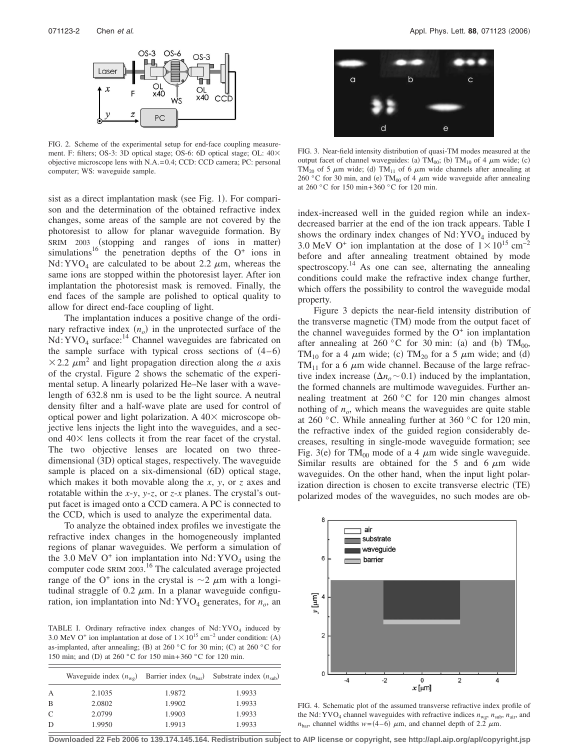

FIG. 2. Scheme of the experimental setup for end-face coupling measurement. F: filters; OS-3: 3D optical stage; OS-6: 6D optical stage; OL:  $40\times$ objective microscope lens with N.A.= 0.4; CCD: CCD camera; PC: personal computer; WS: waveguide sample.

sist as a direct implantation mask (see Fig. 1). For comparison and the determination of the obtained refractive index changes, some areas of the sample are not covered by the photoresist to allow for planar waveguide formation. By SRIM 2003 (stopping and ranges of ions in matter) simulations<sup>16</sup> the penetration depths of the  $O^+$  ions in Nd: YVO<sub>4</sub> are calculated to be about 2.2  $\mu$ m, whereas the same ions are stopped within the photoresist layer. After ion implantation the photoresist mask is removed. Finally, the end faces of the sample are polished to optical quality to allow for direct end-face coupling of light.

The implantation induces a positive change of the ordinary refractive index  $(n_o)$  in the unprotected surface of the Nd: YVO<sub>4</sub> surface:<sup>14</sup> Channel waveguides are fabricated on the sample surface with typical cross sections of  $(4-6)$  $\times$  2.2  $\mu$ m<sup>2</sup> and light propagation direction along the *a* axis of the crystal. Figure 2 shows the schematic of the experimental setup. A linearly polarized He–Ne laser with a wavelength of 632.8 nm is used to be the light source. A neutral density filter and a half-wave plate are used for control of optical power and light polarization. A  $40\times$  microscope objective lens injects the light into the waveguides, and a second  $40\times$  lens collects it from the rear facet of the crystal. The two objective lenses are located on two threedimensional (3D) optical stages, respectively. The waveguide sample is placed on a six-dimensional (6D) optical stage, which makes it both movable along the *x*, *y*, or *z* axes and rotatable within the *x*-*y*, *y*-*z*, or *z*-*x* planes. The crystal's output facet is imaged onto a CCD camera. A PC is connected to the CCD, which is used to analyze the experimental data.

To analyze the obtained index profiles we investigate the refractive index changes in the homogeneously implanted regions of planar waveguides. We perform a simulation of the 3.0 MeV  $O^+$  ion implantation into Nd: YVO<sub>4</sub> using the computer code SRIM 2003. <sup>16</sup> The calculated average projected range of the O<sup>+</sup> ions in the crystal is  $\sim$ 2  $\mu$ m with a longitudinal straggle of 0.2  $\mu$ m. In a planar waveguide configuration, ion implantation into  $Nd:YVO<sub>4</sub>$  generates, for  $n<sub>o</sub>$ , an

TABLE I. Ordinary refractive index changes of  $Nd:YVO<sub>4</sub>$  induced by 3.0 MeV O<sup>+</sup> ion implantation at dose of  $1 \times 10^{15}$  cm<sup>-2</sup> under condition: (A) as-implanted, after annealing; (B) at 260 °C for 30 min; (C) at 260 °C for 150 min; and (D) at 260 °C for 150 min+360 °C for 120 min.

|              | Waveguide index $(n_{\rm w0})$ | Barrier index $(n_{\text{bar}})$ | Substrate index $(n_{sub})$ |
|--------------|--------------------------------|----------------------------------|-----------------------------|
| А            | 2.1035                         | 1.9872                           | 1.9933                      |
| B            | 2.0802                         | 1.9902                           | 1.9933                      |
| $\mathsf{C}$ | 2.0799                         | 1.9903                           | 1.9933                      |
| D            | 1.9950                         | 1.9913                           | 1.9933                      |



FIG. 3. Near-field intensity distribution of quasi-TM modes measured at the output facet of channel waveguides: (a)  $TM_{00}$ ; (b)  $TM_{10}$  of 4  $\mu$ m wide; (c) TM<sub>20</sub> of 5  $\mu$ m wide; (d) TM<sub>11</sub> of 6  $\mu$ m wide channels after annealing at 260 °C for 30 min, and (e) TM<sub>00</sub> of 4  $\mu$ m wide waveguide after annealing at 260 °C for 150 min+ 360 °C for 120 min.

index-increased well in the guided region while an indexdecreased barrier at the end of the ion track appears. Table I shows the ordinary index changes of  $Nd:YVO<sub>4</sub>$  induced by 3.0 MeV O<sup>+</sup> ion implantation at the dose of  $1 \times 10^{15}$  cm<sup>-2</sup> before and after annealing treatment obtained by mode spectroscopy.<sup>14</sup> As one can see, alternating the annealing conditions could make the refractive index change further, which offers the possibility to control the waveguide modal property.

Figure 3 depicts the near-field intensity distribution of the transverse magnetic (TM) mode from the output facet of the channel waveguides formed by the  $O<sup>+</sup>$  ion implantation after annealing at 260 °C for 30 min: (a) and (b)  $TM_{00}$ , TM<sub>10</sub> for a 4  $\mu$ m wide; (c) TM<sub>20</sub> for a 5  $\mu$ m wide; and (d) TM<sub>11</sub> for a 6  $\mu$ m wide channel. Because of the large refractive index increase  $(\Delta n_o \sim 0.1)$  induced by the implantation, the formed channels are multimode waveguides. Further annealing treatment at 260 °C for 120 min changes almost nothing of  $n<sub>o</sub>$ , which means the waveguides are quite stable at 260 °C. While annealing further at 360 °C for 120 min, the refractive index of the guided region considerably decreases, resulting in single-mode waveguide formation; see Fig. 3(e) for TM<sub>00</sub> mode of a 4  $\mu$ m wide single waveguide. Similar results are obtained for the 5 and 6  $\mu$ m wide waveguides. On the other hand, when the input light polarization direction is chosen to excite transverse electric (TE) polarized modes of the waveguides, no such modes are ob-



FIG. 4. Schematic plot of the assumed transverse refractive index profile of the Nd: YVO<sub>4</sub> channel waveguides with refractive indices  $n_{\text{wg}}, n_{\text{sub}}, n_{\text{air}}$ , and  $n_{\text{bar}}$ , channel widths  $w = (4-6) \mu \text{m}$ , and channel depth of 2.2  $\mu \text{m}$ .

**Downloaded 22 Feb 2006 to 139.174.145.164. Redistribution subject to AIP license or copyright, see http://apl.aip.org/apl/copyright.jsp**